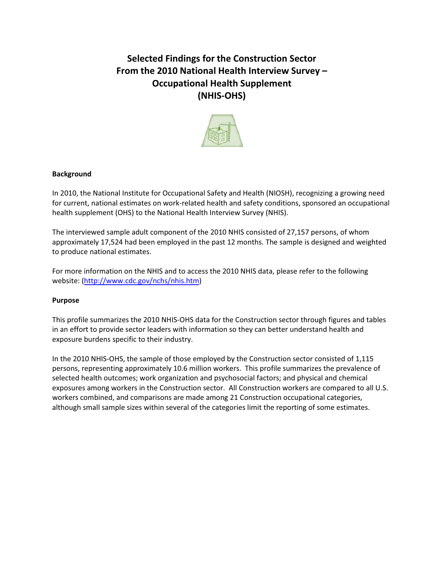**Selected Findings for the Construction Sector From the 2010 National Health Interview Survey – Occupational Health Supplement (NHIS-OHS)** 



# **Background**

In 2010, the National Institute for Occupational Safety and Health (NIOSH), recognizing a growing need for current, national estimates on work-related health and safety conditions, sponsored an occupational health supplement (OHS) to the National Health Interview Survey (NHIS).

The interviewed sample adult component of the 2010 NHIS consisted of 27,157 persons, of whom approximately 17,524 had been employed in the past 12 months. The sample is designed and weighted to produce national estimates.

For more information on the NHIS and to access the 2010 NHIS data, please refer to the following website: (http://www.cdc.gov/nchs/nhis.htm)

# **Purpose**

This profile summarizes the 2010 NHIS-OHS data for the Construction sector through figures and tables in an effort to provide sector leaders with information so they can better understand health and exposure burdens specific to their industry.

In the 2010 NHIS-OHS, the sample of those employed by the Construction sector consisted of 1,115 persons, representing approximately 10.6 million workers. This profile summarizes the prevalence of selected health outcomes; work organization and psychosocial factors; and physical and chemical exposures among workers in the Construction sector. All Construction workers are compared to all U.S. workers combined, and comparisons are made among 21 Construction occupational categories, although small sample sizes within several of the categories limit the reporting of some estimates.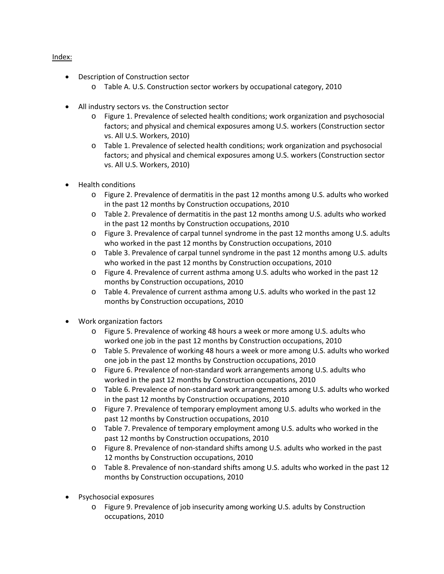# Index:

- Description of Construction sector
	- o Table A. U.S. Construction sector workers by occupational category, 2010
- All industry sectors vs. the Construction sector
	- o Figure 1. Prevalence of selected health conditions; work organization and psychosocial factors; and physical and chemical exposures among U.S. workers (Construction sector vs. All U.S. Workers, 2010)
	- o Table 1. Prevalence of selected health conditions; work organization and psychosocial factors; and physical and chemical exposures among U.S. workers (Construction sector vs. All U.S. Workers, 2010)
- Health conditions
	- o Figure 2. Prevalence of dermatitis in the past 12 months among U.S. adults who worked in the past 12 months by Construction occupations, 2010
	- o Table 2. Prevalence of dermatitis in the past 12 months among U.S. adults who worked in the past 12 months by Construction occupations, 2010
	- o Figure 3. Prevalence of carpal tunnel syndrome in the past 12 months among U.S. adults who worked in the past 12 months by Construction occupations, 2010
	- o Table 3. Prevalence of carpal tunnel syndrome in the past 12 months among U.S. adults who worked in the past 12 months by Construction occupations, 2010
	- o Figure 4. Prevalence of current asthma among U.S. adults who worked in the past 12 months by Construction occupations, 2010
	- o Table 4. Prevalence of current asthma among U.S. adults who worked in the past 12 months by Construction occupations, 2010
- Work organization factors
	- o Figure 5. Prevalence of working 48 hours a week or more among U.S. adults who worked one job in the past 12 months by Construction occupations, 2010
	- o Table 5. Prevalence of working 48 hours a week or more among U.S. adults who worked one job in the past 12 months by Construction occupations, 2010
	- o Figure 6. Prevalence of non-standard work arrangements among U.S. adults who worked in the past 12 months by Construction occupations, 2010
	- o Table 6. Prevalence of non-standard work arrangements among U.S. adults who worked in the past 12 months by Construction occupations, 2010
	- o Figure 7. Prevalence of temporary employment among U.S. adults who worked in the past 12 months by Construction occupations, 2010
	- o Table 7. Prevalence of temporary employment among U.S. adults who worked in the past 12 months by Construction occupations, 2010
	- o Figure 8. Prevalence of non-standard shifts among U.S. adults who worked in the past 12 months by Construction occupations, 2010
	- o Table 8. Prevalence of non-standard shifts among U.S. adults who worked in the past 12 months by Construction occupations, 2010
- Psychosocial exposures
	- o Figure 9. Prevalence of job insecurity among working U.S. adults by Construction occupations, 2010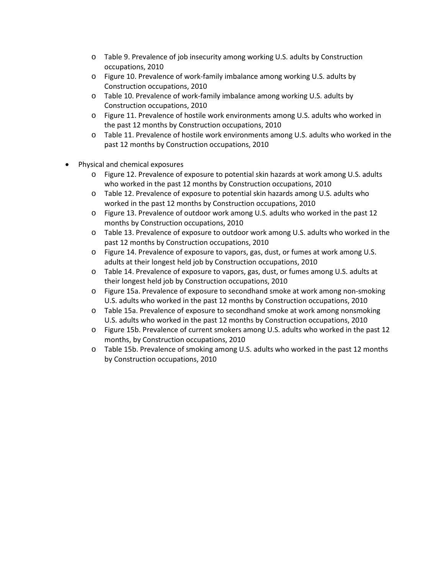- o Table 9. Prevalence of job insecurity among working U.S. adults by Construction occupations, 2010
- o Figure 10. Prevalence of work-family imbalance among working U.S. adults by Construction occupations, 2010
- o Table 10. Prevalence of work-family imbalance among working U.S. adults by Construction occupations, 2010
- o Figure 11. Prevalence of hostile work environments among U.S. adults who worked in the past 12 months by Construction occupations, 2010
- o Table 11. Prevalence of hostile work environments among U.S. adults who worked in the past 12 months by Construction occupations, 2010
- Physical and chemical exposures
	- o Figure 12. Prevalence of exposure to potential skin hazards at work among U.S. adults who worked in the past 12 months by Construction occupations, 2010
	- o Table 12. Prevalence of exposure to potential skin hazards among U.S. adults who worked in the past 12 months by Construction occupations, 2010
	- o Figure 13. Prevalence of outdoor work among U.S. adults who worked in the past 12 months by Construction occupations, 2010
	- o Table 13. Prevalence of exposure to outdoor work among U.S. adults who worked in the past 12 months by Construction occupations, 2010
	- o Figure 14. Prevalence of exposure to vapors, gas, dust, or fumes at work among U.S. adults at their longest held job by Construction occupations, 2010
	- o Table 14. Prevalence of exposure to vapors, gas, dust, or fumes among U.S. adults at their longest held job by Construction occupations, 2010
	- o Figure 15a. Prevalence of exposure to secondhand smoke at work among non-smoking U.S. adults who worked in the past 12 months by Construction occupations, 2010
	- o Table 15a. Prevalence of exposure to secondhand smoke at work among nonsmoking U.S. adults who worked in the past 12 months by Construction occupations, 2010
	- o Figure 15b. Prevalence of current smokers among U.S. adults who worked in the past 12 months, by Construction occupations, 2010
	- o Table 15b. Prevalence of smoking among U.S. adults who worked in the past 12 months by Construction occupations, 2010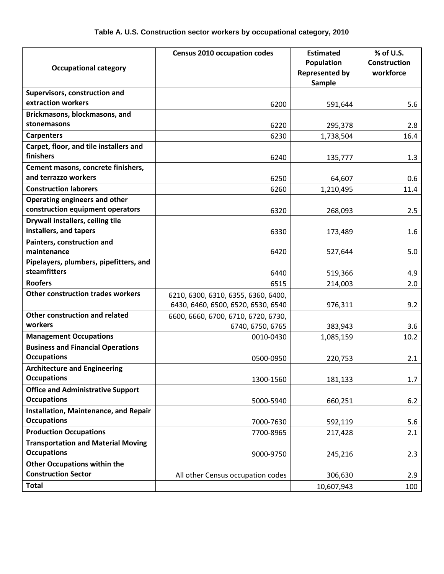|                                                     | <b>Census 2010 occupation codes</b> | <b>Estimated</b>      | % of U.S.           |
|-----------------------------------------------------|-------------------------------------|-----------------------|---------------------|
| <b>Occupational category</b>                        |                                     | Population            | <b>Construction</b> |
|                                                     |                                     | <b>Represented by</b> | workforce           |
|                                                     |                                     | <b>Sample</b>         |                     |
| Supervisors, construction and                       |                                     |                       |                     |
| extraction workers                                  | 6200                                | 591,644               | 5.6                 |
| Brickmasons, blockmasons, and                       |                                     |                       |                     |
| stonemasons                                         | 6220                                | 295,378               | 2.8                 |
| <b>Carpenters</b>                                   | 6230                                | 1,738,504             | 16.4                |
| Carpet, floor, and tile installers and<br>finishers | 6240                                |                       | 1.3                 |
| Cement masons, concrete finishers,                  |                                     | 135,777               |                     |
| and terrazzo workers                                | 6250                                | 64,607                | 0.6                 |
| <b>Construction laborers</b>                        | 6260                                | 1,210,495             | 11.4                |
| Operating engineers and other                       |                                     |                       |                     |
| construction equipment operators                    | 6320                                | 268,093               | 2.5                 |
| Drywall installers, ceiling tile                    |                                     |                       |                     |
| installers, and tapers                              | 6330                                | 173,489               | 1.6                 |
| Painters, construction and                          |                                     |                       |                     |
| maintenance                                         | 6420                                | 527,644               | 5.0                 |
| Pipelayers, plumbers, pipefitters, and              |                                     |                       |                     |
| steamfitters                                        | 6440                                | 519,366               | 4.9                 |
| <b>Roofers</b>                                      | 6515                                | 214,003               | 2.0                 |
| <b>Other construction trades workers</b>            | 6210, 6300, 6310, 6355, 6360, 6400, |                       |                     |
|                                                     | 6430, 6460, 6500, 6520, 6530, 6540  | 976,311               | 9.2                 |
| <b>Other construction and related</b>               | 6600, 6660, 6700, 6710, 6720, 6730, |                       |                     |
| workers                                             | 6740, 6750, 6765                    | 383,943               | 3.6                 |
| <b>Management Occupations</b>                       | 0010-0430                           | 1,085,159             | 10.2                |
| <b>Business and Financial Operations</b>            |                                     |                       |                     |
| <b>Occupations</b>                                  | 0500-0950                           | 220,753               | 2.1                 |
| <b>Architecture and Engineering</b>                 |                                     |                       |                     |
| <b>Occupations</b>                                  | 1300-1560                           | 181,133               | 1.7                 |
| <b>Office and Administrative Support</b>            |                                     |                       |                     |
| <b>Occupations</b>                                  | 5000-5940                           | 660,251               | 6.2                 |
| <b>Installation, Maintenance, and Repair</b>        |                                     |                       |                     |
| <b>Occupations</b>                                  | 7000-7630                           | 592,119               | 5.6                 |
| <b>Production Occupations</b>                       | 7700-8965                           | 217,428               | 2.1                 |
| <b>Transportation and Material Moving</b>           |                                     |                       |                     |
| <b>Occupations</b>                                  | 9000-9750                           | 245,216               | 2.3                 |
| <b>Other Occupations within the</b>                 |                                     |                       |                     |
| <b>Construction Sector</b>                          | All other Census occupation codes   | 306,630               | 2.9                 |
| <b>Total</b>                                        |                                     | 10,607,943            | 100                 |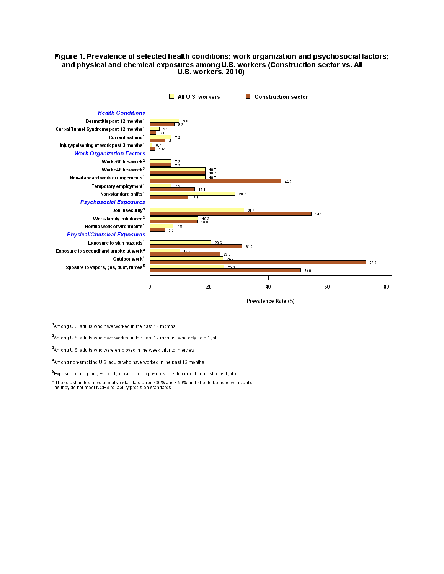## Figure 1. Prevalence of selected health conditions; work organization and psychosocial factors; and physical and chemical exposures among U.S. workers (Construction sector vs. All **U.S. workers, 2010)**



Prevalence Rate (%)

<sup>1</sup>Among U.S. adults who have worked in the past 12 months.

<sup>2</sup>Among U.S. adults who have worked in the past 12 months, who only held 1 job.

<sup>3</sup>Among U.S. adults who were employed in the week prior to interview.

 $4$ Among non-smoking U.S. adults who have worked in the past 12 months.

<sup>5</sup> Exposure during longest-held job (all other exposures refer to current or most recent job).

\* These estimates have a relative standard error >30% and <50% and should be used with caution<br>as they do not meet NCHS reliability/precision standards.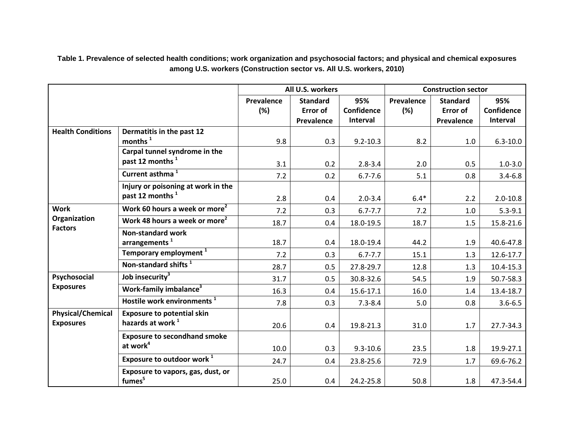**Table 1. Prevalence of selected health conditions; work organization and psychosocial factors; and physical and chemical exposures among U.S. workers (Construction sector vs. All U.S. workers, 2010)**

|                                |                                                         |            | All U.S. workers |              | <b>Construction sector</b> |                 |                   |
|--------------------------------|---------------------------------------------------------|------------|------------------|--------------|----------------------------|-----------------|-------------------|
|                                |                                                         | Prevalence | <b>Standard</b>  | 95%          | Prevalence                 | <b>Standard</b> | 95%               |
|                                |                                                         | (%)        | <b>Error of</b>  | Confidence   | (%)                        | <b>Error of</b> | <b>Confidence</b> |
|                                |                                                         |            | Prevalence       | Interval     |                            | Prevalence      | Interval          |
| <b>Health Conditions</b>       | Dermatitis in the past 12                               |            |                  |              |                            |                 |                   |
|                                | months $1$                                              | 9.8        | 0.3              | $9.2 - 10.3$ | 8.2                        | 1.0             | $6.3 - 10.0$      |
|                                | Carpal tunnel syndrome in the                           |            |                  |              |                            |                 |                   |
|                                | past 12 months <sup>1</sup>                             | 3.1        | 0.2              | $2.8 - 3.4$  | 2.0                        | 0.5             | $1.0 - 3.0$       |
|                                | Current asthma <sup>1</sup>                             | 7.2        | 0.2              | $6.7 - 7.6$  | 5.1                        | 0.8             | $3.4 - 6.8$       |
|                                | Injury or poisoning at work in the                      |            |                  |              |                            |                 |                   |
|                                | past 12 months <sup>1</sup>                             | 2.8        | 0.4              | $2.0 - 3.4$  | $6.4*$                     | 2.2             | $2.0 - 10.8$      |
| <b>Work</b>                    | Work 60 hours a week or more <sup>2</sup>               | 7.2        | 0.3              | $6.7 - 7.7$  | 7.2                        | 1.0             | $5.3 - 9.1$       |
| Organization<br><b>Factors</b> | Work 48 hours a week or more <sup>2</sup>               | 18.7       | 0.4              | 18.0-19.5    | 18.7                       | 1.5             | 15.8-21.6         |
|                                | <b>Non-standard work</b>                                |            |                  |              |                            |                 |                   |
|                                | arrangements <sup>1</sup>                               | 18.7       | 0.4              | 18.0-19.4    | 44.2                       | 1.9             | 40.6-47.8         |
|                                | Temporary employment <sup>1</sup>                       | 7.2        | 0.3              | $6.7 - 7.7$  | 15.1                       | 1.3             | 12.6-17.7         |
|                                | Non-standard shifts <sup>1</sup>                        | 28.7       | 0.5              | 27.8-29.7    | 12.8                       | 1.3             | $10.4 - 15.3$     |
| Psychosocial                   | Job insecurity <sup>3</sup>                             | 31.7       | 0.5              | 30.8-32.6    | 54.5                       | 1.9             | 50.7-58.3         |
| <b>Exposures</b>               | Work-family imbalance <sup>3</sup>                      | 16.3       | 0.4              | 15.6-17.1    | 16.0                       | 1.4             | 13.4-18.7         |
|                                | Hostile work environments <sup>1</sup>                  | 7.8        | 0.3              | $7.3 - 8.4$  | 5.0                        | 0.8             | $3.6 - 6.5$       |
| <b>Physical/Chemical</b>       | <b>Exposure to potential skin</b>                       |            |                  |              |                            |                 |                   |
| <b>Exposures</b>               | hazards at work <sup>1</sup>                            | 20.6       | 0.4              | 19.8-21.3    | 31.0                       | 1.7             | 27.7-34.3         |
|                                | <b>Exposure to secondhand smoke</b>                     |            |                  |              |                            |                 |                   |
|                                | at work <sup>4</sup>                                    | 10.0       | 0.3              | $9.3 - 10.6$ | 23.5                       | 1.8             | 19.9-27.1         |
|                                | Exposure to outdoor work <sup>1</sup>                   | 24.7       | 0.4              | 23.8-25.6    | 72.9                       | 1.7             | 69.6-76.2         |
|                                | Exposure to vapors, gas, dust, or<br>fumes <sup>5</sup> | 25.0       | 0.4              | 24.2-25.8    | 50.8                       | 1.8             | 47.3-54.4         |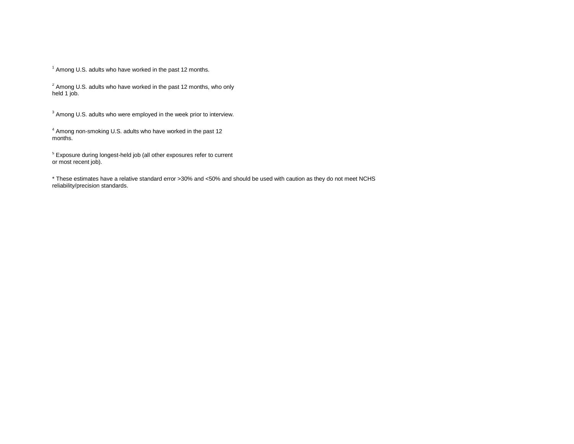$<sup>1</sup>$  Among U.S. adults who have worked in the past 12 months.</sup>

 $2$  Among U.S. adults who have worked in the past 12 months, who only held 1 job.

<sup>3</sup> Among U.S. adults who were employed in the week prior to interview.

<sup>4</sup> Among non-smoking U.S. adults who have worked in the past 12 months.

<sup>5</sup> Exposure during longest-held job (all other exposures refer to current or most recent job).

\* These estimates have a relative standard error >30% and <50% and should be used with caution as they do not meet NCHS reliability/precision standards.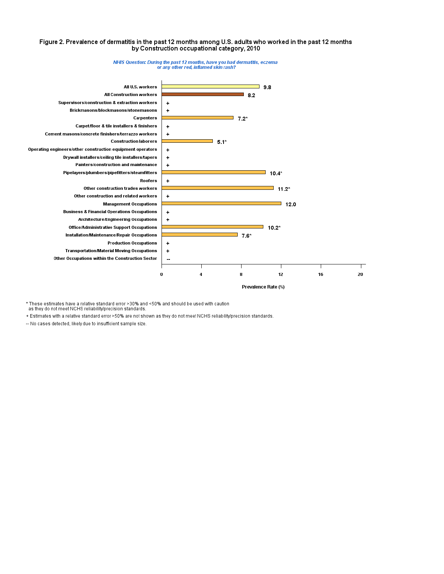#### Figure 2. Prevalence of dermatitis in the past 12 months among U.S. adults who worked in the past 12 months by Construction occupational category, 2010



NHIS Question: During the past 12 months, have you had dermatitis, eczema<br>or any other red, inflamed skin rash?

\* These estimates have a relative standard error >30% and <50% and should be used with caution as they do not meet NCHS reliability/precision standards.

+ Estimates with a relative standard error >50% are not shown as they do not meet NCHS reliability/precision standards.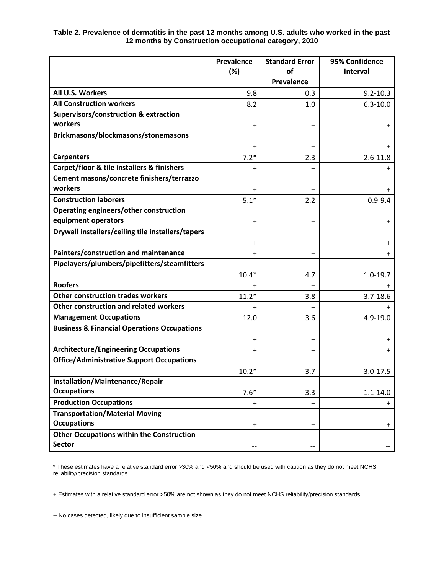|                                                        | Prevalence | <b>Standard Error</b> | 95% Confidence  |
|--------------------------------------------------------|------------|-----------------------|-----------------|
|                                                        | (%)        | of                    | <b>Interval</b> |
|                                                        |            | Prevalence            |                 |
| All U.S. Workers                                       | 9.8        | 0.3                   | $9.2 - 10.3$    |
| <b>All Construction workers</b>                        | 8.2        | 1.0                   | $6.3 - 10.0$    |
| <b>Supervisors/construction &amp; extraction</b>       |            |                       |                 |
| workers                                                | $\ddot{}$  | $\ddot{}$             | $\ddot{}$       |
| Brickmasons/blockmasons/stonemasons                    |            |                       |                 |
|                                                        | $\pmb{+}$  | $\ddot{}$             | $\pm$           |
| <b>Carpenters</b>                                      | $7.2*$     | 2.3                   | $2.6 - 11.8$    |
| Carpet/floor & tile installers & finishers             | $\pmb{+}$  | $\ddot{}$             | +               |
| Cement masons/concrete finishers/terrazzo              |            |                       |                 |
| workers                                                | $\ddot{}$  | $\ddot{}$             | $\pm$           |
| <b>Construction laborers</b>                           | $5.1*$     | 2.2                   | $0.9 - 9.4$     |
| Operating engineers/other construction                 |            |                       |                 |
| equipment operators                                    | $\ddot{}$  | $\ddot{}$             | $^{+}$          |
| Drywall installers/ceiling tile installers/tapers      |            |                       |                 |
|                                                        | +          | $\ddot{}$             | $\pm$           |
| Painters/construction and maintenance                  | $\ddot{}$  | $+$                   | $\ddot{}$       |
| Pipelayers/plumbers/pipefitters/steamfitters           |            |                       |                 |
|                                                        | $10.4*$    | 4.7                   | $1.0 - 19.7$    |
| <b>Roofers</b>                                         | $\ddot{}$  | $\ddot{}$             |                 |
| <b>Other construction trades workers</b>               | $11.2*$    | 3.8                   | $3.7 - 18.6$    |
| Other construction and related workers                 | $\ddot{}$  | $\ddot{}$             | +               |
| <b>Management Occupations</b>                          | 12.0       | 3.6                   | 4.9-19.0        |
| <b>Business &amp; Financial Operations Occupations</b> |            |                       |                 |
|                                                        | $\ddot{}$  | $\ddot{}$             | $\pm$           |
| <b>Architecture/Engineering Occupations</b>            | $\ddot{}$  | $+$                   | $\ddot{}$       |
| <b>Office/Administrative Support Occupations</b>       |            |                       |                 |
|                                                        | $10.2*$    | 3.7                   | $3.0 - 17.5$    |
| Installation/Maintenance/Repair                        |            |                       |                 |
| <b>Occupations</b>                                     | $7.6*$     | 3.3                   | $1.1 - 14.0$    |
| <b>Production Occupations</b>                          | $^{+}$     | $\ddot{}$             | $+$             |
| <b>Transportation/Material Moving</b>                  |            |                       |                 |
| <b>Occupations</b>                                     | $\ddot{}$  | $\ddot{}$             | $+$             |
| <b>Other Occupations within the Construction</b>       |            |                       |                 |
| <b>Sector</b>                                          | --         | --                    |                 |

## **Table 2. Prevalence of dermatitis in the past 12 months among U.S. adults who worked in the past 12 months by Construction occupational category, 2010**

\* These estimates have a relative standard error >30% and <50% and should be used with caution as they do not meet NCHS reliability/precision standards.

+ Estimates with a relative standard error >50% are not shown as they do not meet NCHS reliability/precision standards.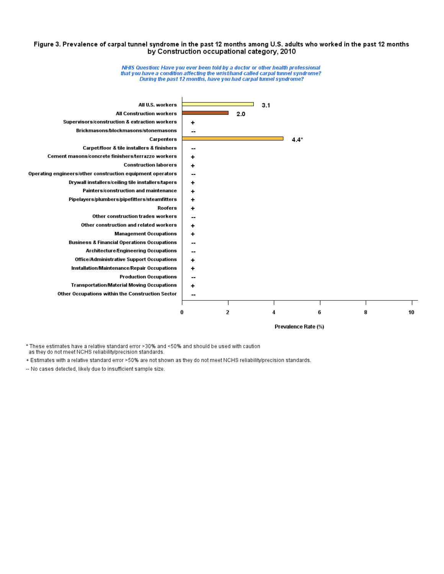#### Figure 3. Prevalence of carpal tunnel syndrome in the past 12 months among U.S. adults who worked in the past 12 months by Construction occupational category, 2010

NHIS Question: Have you ever been told by a doctor or other health professional<br>that you have a condition affecting the wrist/hand called carpal tunnel syndrome?<br>During the past 12 months, have you had carpal tunnel syndro



\* These estimates have a relative standard error >30% and <50% and should be used with caution as they do not meet NCHS reliability/precision standards.

+ Estimates with a relative standard error >50% are not shown as they do not meet NCHS reliability/precision standards.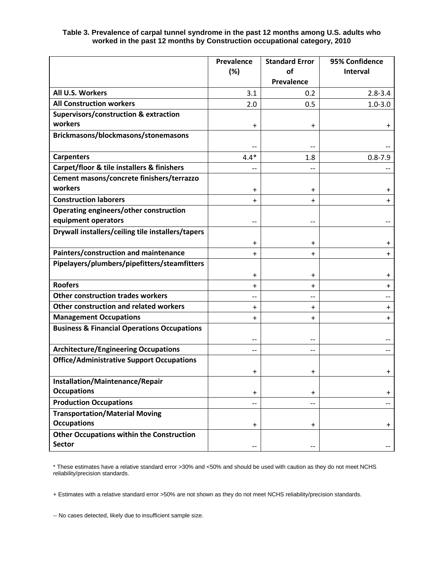|                                                        | Prevalence               | <b>Standard Error</b> | 95% Confidence |
|--------------------------------------------------------|--------------------------|-----------------------|----------------|
|                                                        | (%)                      | of                    | Interval       |
|                                                        |                          | Prevalence            |                |
| All U.S. Workers                                       | 3.1                      | 0.2                   | $2.8 - 3.4$    |
| <b>All Construction workers</b>                        | 2.0                      | 0.5                   | $1.0 - 3.0$    |
| <b>Supervisors/construction &amp; extraction</b>       |                          |                       |                |
| workers                                                | +                        | $\ddot{}$             | $\ddot{}$      |
| Brickmasons/blockmasons/stonemasons                    |                          |                       |                |
|                                                        |                          |                       |                |
| <b>Carpenters</b>                                      | $4.4*$                   | 1.8                   | $0.8 - 7.9$    |
| Carpet/floor & tile installers & finishers             |                          |                       |                |
| Cement masons/concrete finishers/terrazzo              |                          |                       |                |
| workers                                                | $\ddot{}$                | +                     | $+$            |
| <b>Construction laborers</b>                           | $\ddot{}$                | $\ddot{}$             | $+$            |
| Operating engineers/other construction                 |                          |                       |                |
| equipment operators                                    | --                       |                       | --             |
| Drywall installers/ceiling tile installers/tapers      |                          |                       |                |
|                                                        | $\pmb{+}$                | +                     | $+$            |
| Painters/construction and maintenance                  | $\ddot{}$                | $\ddot{}$             | $+$            |
| Pipelayers/plumbers/pipefitters/steamfitters           |                          |                       |                |
|                                                        | $\pmb{+}$                | $\ddot{}$             | $+$            |
| <b>Roofers</b>                                         | $+$                      | $\ddot{}$             | $+$            |
| <b>Other construction trades workers</b>               | --                       |                       |                |
| Other construction and related workers                 | $\ddot{}$                | $\ddot{}$             | $+$            |
| <b>Management Occupations</b>                          | $\ddot{}$                | $\ddot{}$             | $\ddot{}$      |
| <b>Business &amp; Financial Operations Occupations</b> |                          |                       |                |
|                                                        | $\overline{\phantom{a}}$ |                       |                |
| <b>Architecture/Engineering Occupations</b>            | --                       |                       |                |
| <b>Office/Administrative Support Occupations</b>       |                          |                       |                |
|                                                        | +                        | +                     | $\ddot{}$      |
| Installation/Maintenance/Repair                        |                          |                       |                |
| <b>Occupations</b>                                     | $\pm$                    | $\pm$                 | $+$            |
| <b>Production Occupations</b>                          | --                       | $-$                   | --             |
| <b>Transportation/Material Moving</b>                  |                          |                       |                |
| <b>Occupations</b>                                     | $\ddot{}$                | $\ddot{}$             | $+$            |
| <b>Other Occupations within the Construction</b>       |                          |                       |                |
| <b>Sector</b>                                          | --                       |                       |                |

## **Table 3. Prevalence of carpal tunnel syndrome in the past 12 months among U.S. adults who worked in the past 12 months by Construction occupational category, 2010**

\* These estimates have a relative standard error >30% and <50% and should be used with caution as they do not meet NCHS reliability/precision standards.

+ Estimates with a relative standard error >50% are not shown as they do not meet NCHS reliability/precision standards.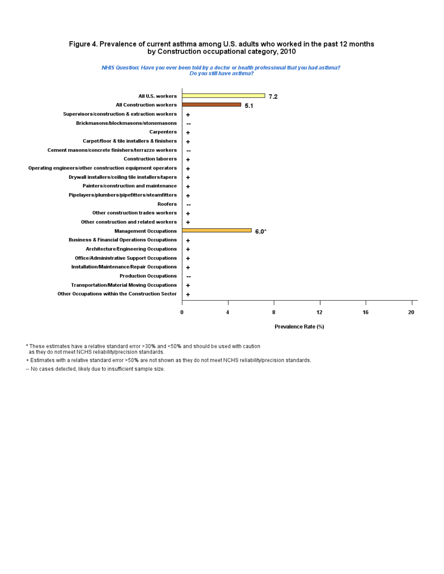## Figure 4. Prevalence of current asthma among U.S. adults who worked in the past 12 months by Construction occupational category, 2010





\* These estimates have a relative standard error >30% and <50% and should be used with caution as they do not meet NCHS reliability/precision standards.

+ Estimates with a relative standard error >50% are not shown as they do not meet NCHS reliability/precision standards.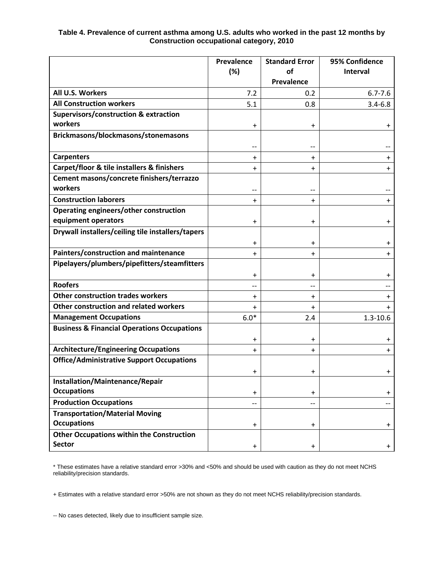## **Table 4. Prevalence of current asthma among U.S. adults who worked in the past 12 months by Construction occupational category, 2010**

|                                                        | Prevalence  | <b>Standard Error</b> | 95% Confidence |
|--------------------------------------------------------|-------------|-----------------------|----------------|
|                                                        | (%)         | οf                    | Interval       |
|                                                        |             | Prevalence            |                |
| All U.S. Workers                                       | 7.2         | 0.2                   | $6.7 - 7.6$    |
| <b>All Construction workers</b>                        | 5.1         | 0.8                   | $3.4 - 6.8$    |
| <b>Supervisors/construction &amp; extraction</b>       |             |                       |                |
| workers                                                | $\pmb{+}$   | $\ddot{}$             | $\ddot{}$      |
| Brickmasons/blockmasons/stonemasons                    |             |                       |                |
|                                                        | --          |                       |                |
| <b>Carpenters</b>                                      | +           | $\ddot{}$             | +              |
| Carpet/floor & tile installers & finishers             | $\ddot{}$   | $\ddot{}$             | +              |
| Cement masons/concrete finishers/terrazzo              |             |                       |                |
| workers                                                | $-$         |                       |                |
| <b>Construction laborers</b>                           | $\ddot{}$   | $\ddot{}$             | $\ddot{}$      |
| <b>Operating engineers/other construction</b>          |             |                       |                |
| equipment operators                                    | $\mathbf +$ | $\ddot{}$             | $\ddot{}$      |
| Drywall installers/ceiling tile installers/tapers      |             |                       |                |
|                                                        | $\pmb{+}$   | $\ddot{}$             | $\ddot{}$      |
| Painters/construction and maintenance                  | $\ddot{}$   | $\ddot{}$             | +              |
| Pipelayers/plumbers/pipefitters/steamfitters           |             |                       |                |
|                                                        | +           | +                     | +              |
| <b>Roofers</b>                                         | $-$         | --                    |                |
| <b>Other construction trades workers</b>               | $\ddot{}$   | $\ddot{}$             | $\ddot{}$      |
| Other construction and related workers                 | $\ddot{}$   | $+$                   | $\ddot{}$      |
| <b>Management Occupations</b>                          | $6.0*$      | 2.4                   | $1.3 - 10.6$   |
| <b>Business &amp; Financial Operations Occupations</b> |             |                       |                |
|                                                        | +           | $\ddot{}$             | +              |
| <b>Architecture/Engineering Occupations</b>            | $\ddot{}$   | $\ddot{}$             | $\ddot{}$      |
| <b>Office/Administrative Support Occupations</b>       |             |                       |                |
|                                                        | +           | +                     | +              |
| Installation/Maintenance/Repair                        |             |                       |                |
| <b>Occupations</b>                                     | $\pmb{+}$   | +                     | $\pm$          |
| <b>Production Occupations</b>                          | --          |                       |                |
| <b>Transportation/Material Moving</b>                  |             |                       |                |
| <b>Occupations</b>                                     | $\ddot{}$   | $\ddot{}$             | $\ddot{}$      |
| <b>Other Occupations within the Construction</b>       |             |                       |                |
| <b>Sector</b>                                          | $\ddot{}$   | $\ddot{}$             | $+$            |

\* These estimates have a relative standard error >30% and <50% and should be used with caution as they do not meet NCHS reliability/precision standards.

+ Estimates with a relative standard error >50% are not shown as they do not meet NCHS reliability/precision standards.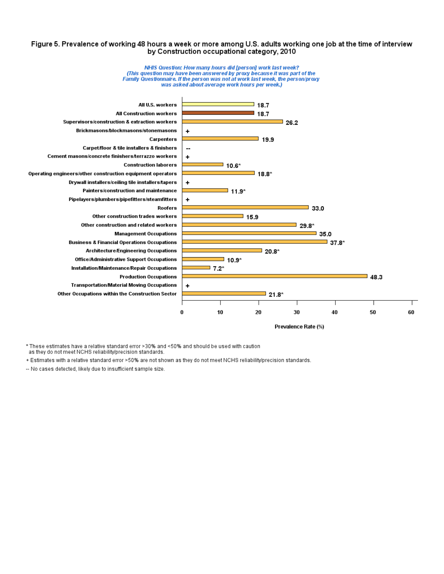#### Figure 5. Prevalence of working 48 hours a week or more among U.S. adults working one job at the time of interview by Construction occupational category, 2010



\* These estimates have a relative standard error >30% and <50% and should be used with caution as they do not meet NCHS reliability/precision standards.

+ Estimates with a relative standard error >50% are not shown as they do not meet NCHS reliability/precision standards.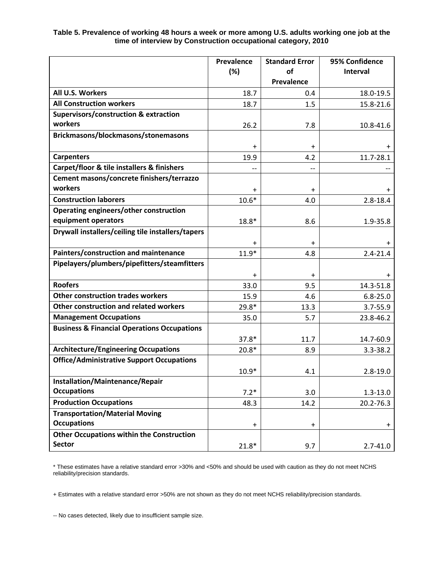|                                                        | Prevalence | <b>Standard Error</b> | 95% Confidence |
|--------------------------------------------------------|------------|-----------------------|----------------|
|                                                        | (%)        | <b>of</b>             | Interval       |
|                                                        |            | Prevalence            |                |
| All U.S. Workers                                       | 18.7       | 0.4                   | 18.0-19.5      |
| <b>All Construction workers</b>                        | 18.7       | 1.5                   | 15.8-21.6      |
| <b>Supervisors/construction &amp; extraction</b>       |            |                       |                |
| workers                                                | 26.2       | 7.8                   | 10.8-41.6      |
| Brickmasons/blockmasons/stonemasons                    |            |                       |                |
|                                                        | $\ddot{}$  | $\ddot{}$             |                |
| <b>Carpenters</b>                                      | 19.9       | 4.2                   | 11.7-28.1      |
| Carpet/floor & tile installers & finishers             | --         | --                    |                |
| Cement masons/concrete finishers/terrazzo              |            |                       |                |
| workers                                                | $\pmb{+}$  | +                     |                |
| <b>Construction laborers</b>                           | $10.6*$    | 4.0                   | $2.8 - 18.4$   |
| Operating engineers/other construction                 |            |                       |                |
| equipment operators                                    | 18.8*      | 8.6                   | 1.9-35.8       |
| Drywall installers/ceiling tile installers/tapers      |            |                       |                |
|                                                        | $\ddot{}$  | $\ddot{}$             |                |
| Painters/construction and maintenance                  | $11.9*$    | 4.8                   | $2.4 - 21.4$   |
| Pipelayers/plumbers/pipefitters/steamfitters           |            |                       |                |
|                                                        | $\ddot{}$  | $\ddot{}$             |                |
| <b>Roofers</b>                                         | 33.0       | 9.5                   | 14.3-51.8      |
| <b>Other construction trades workers</b>               | 15.9       | 4.6                   | $6.8 - 25.0$   |
| Other construction and related workers                 | 29.8*      | 13.3                  | $3.7 - 55.9$   |
| <b>Management Occupations</b>                          | 35.0       | 5.7                   | 23.8-46.2      |
| <b>Business &amp; Financial Operations Occupations</b> |            |                       |                |
|                                                        | $37.8*$    | 11.7                  | 14.7-60.9      |
| <b>Architecture/Engineering Occupations</b>            | $20.8*$    | 8.9                   | $3.3 - 38.2$   |
| <b>Office/Administrative Support Occupations</b>       |            |                       |                |
|                                                        | $10.9*$    | 4.1                   | $2.8 - 19.0$   |
| Installation/Maintenance/Repair                        |            |                       |                |
| <b>Occupations</b>                                     | $7.2*$     | 3.0                   | $1.3 - 13.0$   |
| <b>Production Occupations</b>                          | 48.3       | 14.2                  | 20.2-76.3      |
| <b>Transportation/Material Moving</b>                  |            |                       |                |
| <b>Occupations</b>                                     | $\ddot{}$  | $\ddot{}$             | $+$            |
| <b>Other Occupations within the Construction</b>       |            |                       |                |
| <b>Sector</b>                                          | $21.8*$    | 9.7                   | $2.7 - 41.0$   |

**Table 5. Prevalence of working 48 hours a week or more among U.S. adults working one job at the time of interview by Construction occupational category, 2010**

\* These estimates have a relative standard error >30% and <50% and should be used with caution as they do not meet NCHS reliability/precision standards.

+ Estimates with a relative standard error >50% are not shown as they do not meet NCHS reliability/precision standards.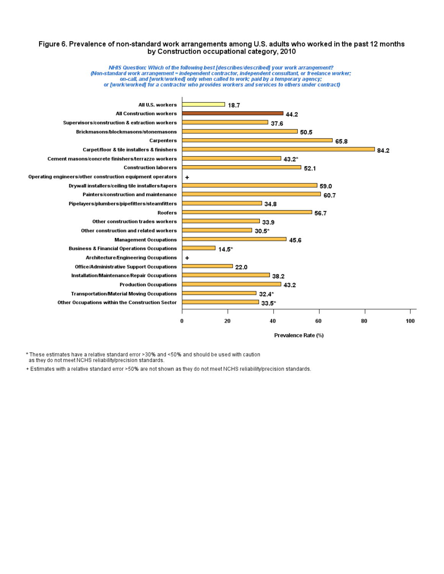#### Figure 6. Prevalence of non-standard work arrangements among U.S. adults who worked in the past 12 months by Construction occupational category, 2010





\* These estimates have a relative standard error >30% and <50% and should be used with caution

as they do not meet NCHS reliability/precision standards.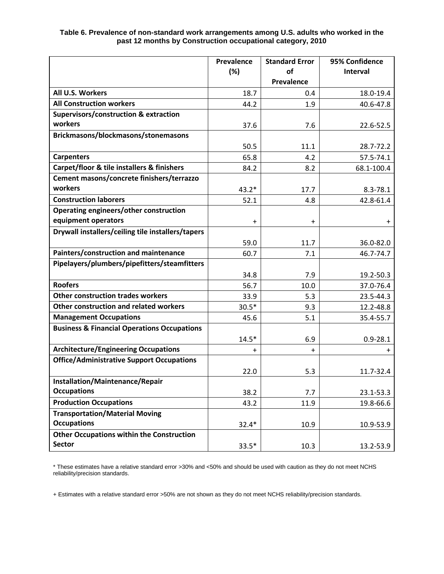|                                                        | Prevalence | <b>Standard Error</b> | 95% Confidence |
|--------------------------------------------------------|------------|-----------------------|----------------|
|                                                        | (%)        | of                    | Interval       |
|                                                        |            | Prevalence            |                |
| All U.S. Workers                                       | 18.7       | 0.4                   | 18.0-19.4      |
| <b>All Construction workers</b>                        | 44.2       | 1.9                   | 40.6-47.8      |
| <b>Supervisors/construction &amp; extraction</b>       |            |                       |                |
| workers                                                | 37.6       | 7.6                   | 22.6-52.5      |
| Brickmasons/blockmasons/stonemasons                    |            |                       |                |
|                                                        | 50.5       | 11.1                  | 28.7-72.2      |
| <b>Carpenters</b>                                      | 65.8       | 4.2                   | 57.5-74.1      |
| Carpet/floor & tile installers & finishers             | 84.2       | 8.2                   | 68.1-100.4     |
| Cement masons/concrete finishers/terrazzo              |            |                       |                |
| workers                                                | $43.2*$    | 17.7                  | 8.3-78.1       |
| <b>Construction laborers</b>                           | 52.1       | 4.8                   | 42.8-61.4      |
| Operating engineers/other construction                 |            |                       |                |
| equipment operators                                    | $\ddot{}$  | $\ddot{}$             | $\ddot{}$      |
| Drywall installers/ceiling tile installers/tapers      |            |                       |                |
|                                                        | 59.0       | 11.7                  | 36.0-82.0      |
| Painters/construction and maintenance                  | 60.7       | 7.1                   | 46.7-74.7      |
| Pipelayers/plumbers/pipefitters/steamfitters           |            |                       |                |
|                                                        | 34.8       | 7.9                   | 19.2-50.3      |
| <b>Roofers</b>                                         | 56.7       | 10.0                  | 37.0-76.4      |
| <b>Other construction trades workers</b>               | 33.9       | 5.3                   | 23.5-44.3      |
| Other construction and related workers                 | $30.5*$    | 9.3                   | 12.2-48.8      |
| <b>Management Occupations</b>                          | 45.6       | 5.1                   | 35.4-55.7      |
| <b>Business &amp; Financial Operations Occupations</b> |            |                       |                |
|                                                        | $14.5*$    | 6.9                   | $0.9 - 28.1$   |
| <b>Architecture/Engineering Occupations</b>            | $\ddot{}$  | $\ddot{}$             | $\ddot{}$      |
| <b>Office/Administrative Support Occupations</b>       |            |                       |                |
|                                                        | 22.0       | 5.3                   | 11.7-32.4      |
| Installation/Maintenance/Repair                        |            |                       |                |
| <b>Occupations</b>                                     | 38.2       | 7.7                   | 23.1-53.3      |
| <b>Production Occupations</b>                          | 43.2       | 11.9                  | 19.8-66.6      |
| <b>Transportation/Material Moving</b>                  |            |                       |                |
| <b>Occupations</b>                                     | $32.4*$    | 10.9                  | 10.9-53.9      |
| <b>Other Occupations within the Construction</b>       |            |                       |                |
| <b>Sector</b>                                          | $33.5*$    | 10.3                  | 13.2-53.9      |

## **Table 6. Prevalence of non-standard work arrangements among U.S. adults who worked in the past 12 months by Construction occupational category, 2010**

\* These estimates have a relative standard error >30% and <50% and should be used with caution as they do not meet NCHS reliability/precision standards.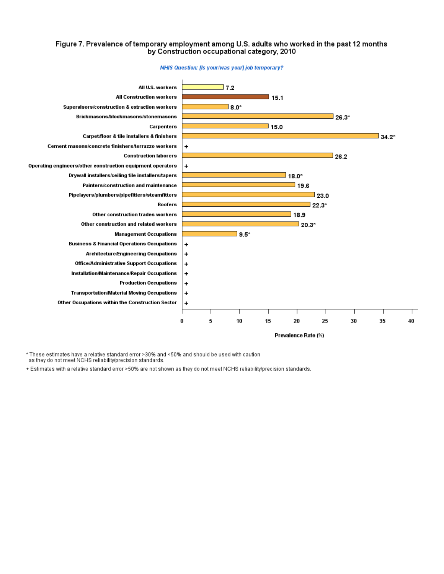## Figure 7. Prevalence of temporary employment among U.S. adults who worked in the past 12 months by Construction occupational category, 2010



NHIS Question: [Is your/was your] job temporary?

\* These estimates have a relative standard error >30% and <50% and should be used with caution

as they do not meet NCHS reliability/precision standards.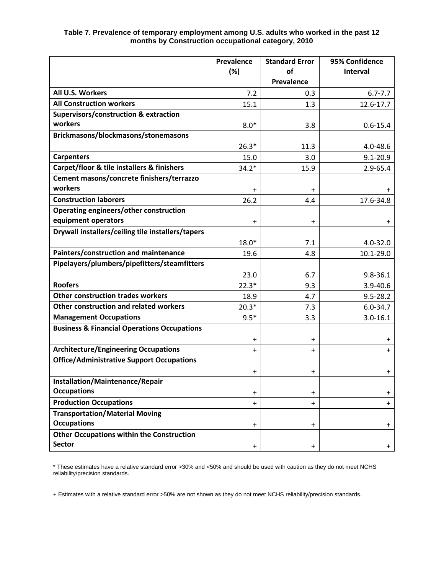|                                                        | Prevalence | <b>Standard Error</b> | 95% Confidence  |
|--------------------------------------------------------|------------|-----------------------|-----------------|
|                                                        | (%)        | of                    | <b>Interval</b> |
|                                                        |            | Prevalence            |                 |
| All U.S. Workers                                       | 7.2        | 0.3                   | $6.7 - 7.7$     |
| <b>All Construction workers</b>                        | 15.1       | 1.3                   | 12.6-17.7       |
| <b>Supervisors/construction &amp; extraction</b>       |            |                       |                 |
| workers                                                | $8.0*$     | 3.8                   | $0.6 - 15.4$    |
| Brickmasons/blockmasons/stonemasons                    |            |                       |                 |
|                                                        | $26.3*$    | 11.3                  | $4.0 - 48.6$    |
| <b>Carpenters</b>                                      | 15.0       | 3.0                   | $9.1 - 20.9$    |
| Carpet/floor & tile installers & finishers             | $34.2*$    | 15.9                  | $2.9 - 65.4$    |
| Cement masons/concrete finishers/terrazzo              |            |                       |                 |
| workers                                                | $\ddot{}$  | $\ddot{}$             |                 |
| <b>Construction laborers</b>                           | 26.2       | 4.4                   | 17.6-34.8       |
| <b>Operating engineers/other construction</b>          |            |                       |                 |
| equipment operators                                    | $\ddot{}$  | $\ddot{}$             | $\ddot{}$       |
| Drywall installers/ceiling tile installers/tapers      |            |                       |                 |
|                                                        | $18.0*$    | 7.1                   | $4.0 - 32.0$    |
| Painters/construction and maintenance                  | 19.6       | 4.8                   | 10.1-29.0       |
| Pipelayers/plumbers/pipefitters/steamfitters           |            |                       |                 |
|                                                        | 23.0       | 6.7                   | $9.8 - 36.1$    |
| <b>Roofers</b>                                         | $22.3*$    | 9.3                   | $3.9 - 40.6$    |
| <b>Other construction trades workers</b>               | 18.9       | 4.7                   | $9.5 - 28.2$    |
| Other construction and related workers                 | $20.3*$    | 7.3                   | $6.0 - 34.7$    |
| <b>Management Occupations</b>                          | $9.5*$     | 3.3                   | $3.0 - 16.1$    |
| <b>Business &amp; Financial Operations Occupations</b> |            |                       |                 |
|                                                        | $\ddot{}$  | $\pm$                 | $+$             |
| <b>Architecture/Engineering Occupations</b>            | $\ddot{}$  | $+$                   | $+$             |
| <b>Office/Administrative Support Occupations</b>       |            |                       |                 |
|                                                        | $\ddot{}$  | $\pm$                 | $^{+}$          |
| Installation/Maintenance/Repair                        |            |                       |                 |
| <b>Occupations</b>                                     | $\ddot{}$  | $\ddot{}$             | $+$             |
| <b>Production Occupations</b>                          | $+$        | $\ddot{}$             | $+$             |
| <b>Transportation/Material Moving</b>                  |            |                       |                 |
| <b>Occupations</b>                                     | $\ddot{}$  | $\ddot{}$             | $+$             |
| <b>Other Occupations within the Construction</b>       |            |                       |                 |
| <b>Sector</b>                                          | $\ddot{}$  | $\ddot{}$             | $+$             |

## **Table 7. Prevalence of temporary employment among U.S. adults who worked in the past 12 months by Construction occupational category, 2010**

\* These estimates have a relative standard error >30% and <50% and should be used with caution as they do not meet NCHS reliability/precision standards.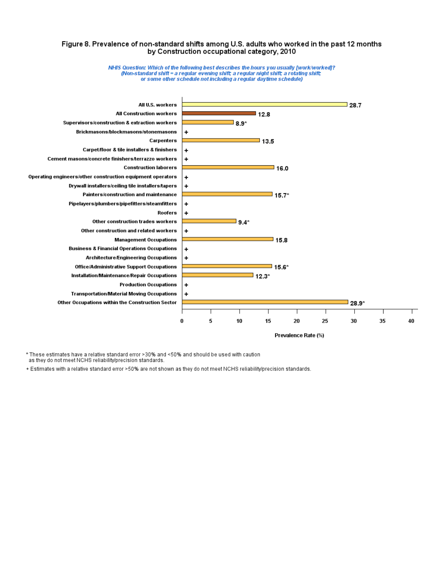## Figure 8. Prevalence of non-standard shifts among U.S. adults who worked in the past 12 months by Construction occupational category, 2010

NHIS Question: Which of the following best describes the hours you usually [work/worked]? when you will be concerned to the concerned of the standard shift; a regular night shift; a rotating shift;<br>(Non-standard shift = a regular evening shift; a regular night shift; a rotating shift;<br>or some other schedule not



\* These estimates have a relative standard error >30% and <50% and should be used with caution

as they do not meet NCHS reliability/precision standards.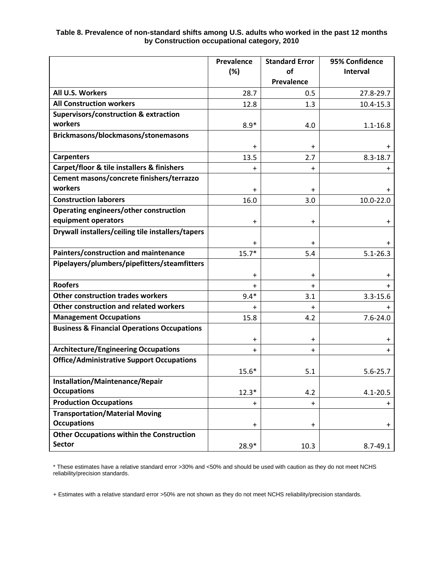## **Table 8. Prevalence of non-standard shifts among U.S. adults who worked in the past 12 months by Construction occupational category, 2010**

|                                                        | Prevalence | <b>Standard Error</b> | 95% Confidence |
|--------------------------------------------------------|------------|-----------------------|----------------|
|                                                        | (%)        | of                    | Interval       |
|                                                        |            | Prevalence            |                |
| All U.S. Workers                                       | 28.7       | 0.5                   | 27.8-29.7      |
| <b>All Construction workers</b>                        | 12.8       | 1.3                   | 10.4-15.3      |
| <b>Supervisors/construction &amp; extraction</b>       |            |                       |                |
| workers                                                | $8.9*$     | 4.0                   | $1.1 - 16.8$   |
| Brickmasons/blockmasons/stonemasons                    |            |                       |                |
|                                                        | $\ddot{}$  | $\ddot{}$             |                |
| <b>Carpenters</b>                                      | 13.5       | 2.7                   | $8.3 - 18.7$   |
| Carpet/floor & tile installers & finishers             | $\ddot{}$  | $\ddot{}$             | +              |
| Cement masons/concrete finishers/terrazzo              |            |                       |                |
| workers                                                | $\ddot{}$  | $\ddot{}$             |                |
| <b>Construction laborers</b>                           | 16.0       | 3.0                   | 10.0-22.0      |
| Operating engineers/other construction                 |            |                       |                |
| equipment operators                                    | $\ddot{}$  | $\pmb{+}$             | $\pm$          |
| Drywall installers/ceiling tile installers/tapers      |            |                       |                |
|                                                        | $\ddot{}$  | $\ddot{}$             |                |
| Painters/construction and maintenance                  | $15.7*$    | 5.4                   | $5.1 - 26.3$   |
| Pipelayers/plumbers/pipefitters/steamfitters           |            |                       |                |
|                                                        | $\ddot{}$  | $\pm$                 | $\pm$          |
| <b>Roofers</b>                                         | $+$        | $+$                   | $+$            |
| <b>Other construction trades workers</b>               | $9.4*$     | 3.1                   | $3.3 - 15.6$   |
| Other construction and related workers                 | $+$        | $\ddot{}$             | $\ddot{}$      |
| <b>Management Occupations</b>                          | 15.8       | 4.2                   | $7.6 - 24.0$   |
| <b>Business &amp; Financial Operations Occupations</b> |            |                       |                |
|                                                        | $\pmb{+}$  | +                     | $\pm$          |
| <b>Architecture/Engineering Occupations</b>            | $\ddot{}$  | $\ddot{}$             | $\ddot{}$      |
| <b>Office/Administrative Support Occupations</b>       |            |                       |                |
|                                                        | $15.6*$    | 5.1                   | $5.6 - 25.7$   |
| Installation/Maintenance/Repair                        |            |                       |                |
| <b>Occupations</b>                                     | $12.3*$    | 4.2                   | $4.1 - 20.5$   |
| <b>Production Occupations</b>                          | $\ddot{}$  | $\ddot{}$             | $\pm$          |
| <b>Transportation/Material Moving</b>                  |            |                       |                |
| <b>Occupations</b>                                     | $\ddot{}$  | $\ddot{}$             | $+$            |
| <b>Other Occupations within the Construction</b>       |            |                       |                |
| <b>Sector</b>                                          | $28.9*$    | 10.3                  | $8.7 - 49.1$   |

\* These estimates have a relative standard error >30% and <50% and should be used with caution as they do not meet NCHS reliability/precision standards.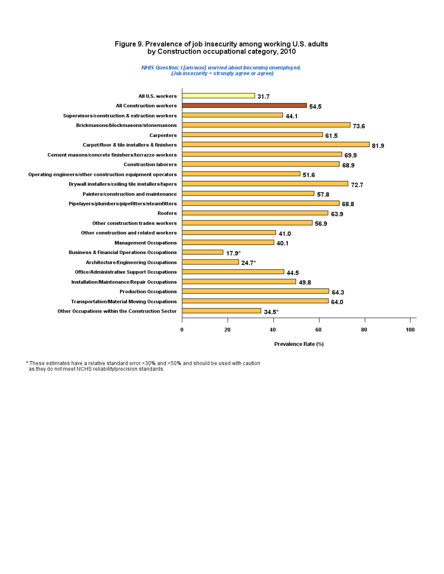## Figure 9. Prevalence of job insecurity among working U.S. adults by Construction occupational category, 2010

# NHIS Question: I [am/was] worried about becoming unemployed.<br>(Job insecurity = strongly agree or agree)



Prevalence Rate (%)

\* These estimates have a relative standard error >30% and <50% and should be used with caution as they do not meet NCHS reliability/precision standards.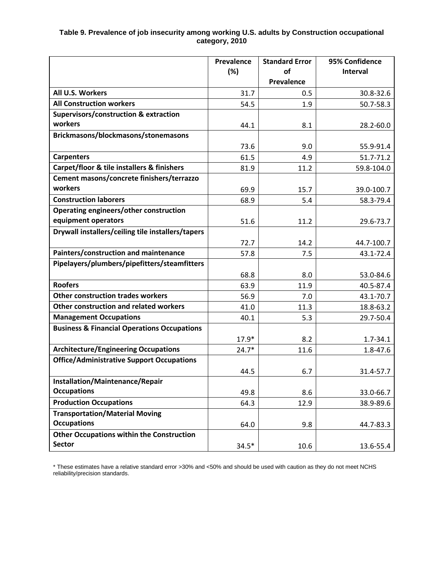## **Table 9. Prevalence of job insecurity among working U.S. adults by Construction occupational category, 2010**

|                                                        | Prevalence | <b>Standard Error</b> | 95% Confidence |
|--------------------------------------------------------|------------|-----------------------|----------------|
|                                                        | (%)        | of                    | Interval       |
|                                                        |            | Prevalence            |                |
| All U.S. Workers                                       | 31.7       | 0.5                   | 30.8-32.6      |
| <b>All Construction workers</b>                        | 54.5       | 1.9                   | 50.7-58.3      |
| Supervisors/construction & extraction                  |            |                       |                |
| workers                                                | 44.1       | 8.1                   | 28.2-60.0      |
| Brickmasons/blockmasons/stonemasons                    |            |                       |                |
|                                                        | 73.6       | 9.0                   | 55.9-91.4      |
| <b>Carpenters</b>                                      | 61.5       | 4.9                   | 51.7-71.2      |
| Carpet/floor & tile installers & finishers             | 81.9       | 11.2                  | 59.8-104.0     |
| Cement masons/concrete finishers/terrazzo              |            |                       |                |
| workers                                                | 69.9       | 15.7                  | 39.0-100.7     |
| <b>Construction laborers</b>                           | 68.9       | 5.4                   | 58.3-79.4      |
| <b>Operating engineers/other construction</b>          |            |                       |                |
| equipment operators                                    | 51.6       | 11.2                  | 29.6-73.7      |
| Drywall installers/ceiling tile installers/tapers      |            |                       |                |
|                                                        | 72.7       | 14.2                  | 44.7-100.7     |
| Painters/construction and maintenance                  | 57.8       | 7.5                   | 43.1-72.4      |
| Pipelayers/plumbers/pipefitters/steamfitters           |            |                       |                |
|                                                        | 68.8       | 8.0                   | 53.0-84.6      |
| <b>Roofers</b>                                         | 63.9       | 11.9                  | 40.5-87.4      |
| <b>Other construction trades workers</b>               | 56.9       | 7.0                   | 43.1-70.7      |
| Other construction and related workers                 | 41.0       | 11.3                  | 18.8-63.2      |
| <b>Management Occupations</b>                          | 40.1       | 5.3                   | 29.7-50.4      |
| <b>Business &amp; Financial Operations Occupations</b> |            |                       |                |
|                                                        | $17.9*$    | 8.2                   | $1.7 - 34.1$   |
| <b>Architecture/Engineering Occupations</b>            | $24.7*$    | 11.6                  | $1.8 - 47.6$   |
| <b>Office/Administrative Support Occupations</b>       |            |                       |                |
|                                                        | 44.5       | 6.7                   | 31.4-57.7      |
| Installation/Maintenance/Repair                        |            |                       |                |
| <b>Occupations</b>                                     | 49.8       | 8.6                   | 33.0-66.7      |
| <b>Production Occupations</b>                          | 64.3       | 12.9                  | 38.9-89.6      |
| <b>Transportation/Material Moving</b>                  |            |                       |                |
| <b>Occupations</b>                                     | 64.0       | 9.8                   | 44.7-83.3      |
| <b>Other Occupations within the Construction</b>       |            |                       |                |
| <b>Sector</b>                                          | $34.5*$    | 10.6                  | 13.6-55.4      |

\* These estimates have a relative standard error >30% and <50% and should be used with caution as they do not meet NCHS reliability/precision standards.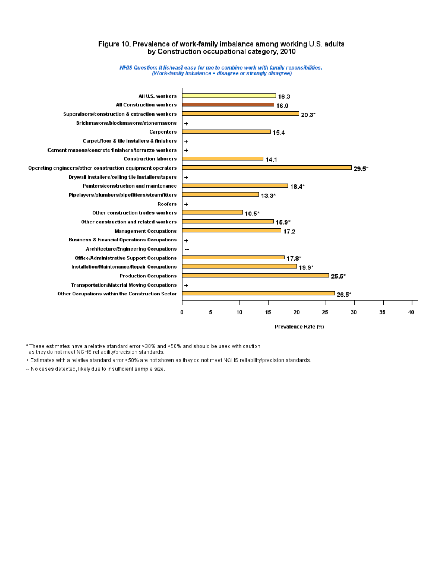#### Figure 10. Prevalence of work-family imbalance among working U.S. adults by Construction occupational category, 2010

NHIS Question: It [is/was] easy for me to combine work with family reponsibilities. (Work-family imbalance = disagree or strongly disagree)



\* These estimates have a relative standard error >30% and <50% and should be used with caution as they do not meet NCHS reliability/precision standards.

+ Estimates with a relative standard error >50% are not shown as they do not meet NCHS reliability/precision standards.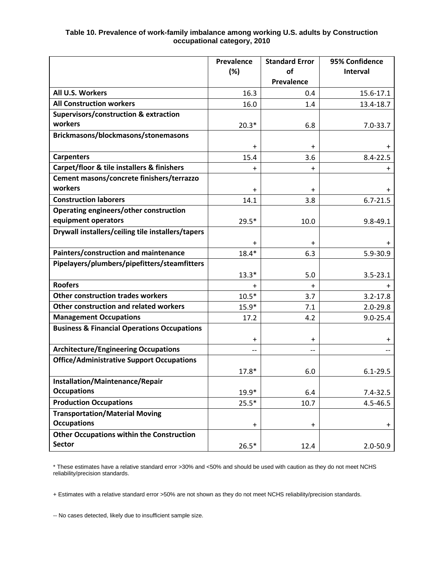## **Table 10. Prevalence of work-family imbalance among working U.S. adults by Construction occupational category, 2010**

|                                                        | Prevalence | <b>Standard Error</b> | 95% Confidence |
|--------------------------------------------------------|------------|-----------------------|----------------|
|                                                        | (%)        | <b>of</b>             | Interval       |
|                                                        |            | Prevalence            |                |
| All U.S. Workers                                       | 16.3       | 0.4                   | 15.6-17.1      |
| <b>All Construction workers</b>                        | 16.0       | 1.4                   | 13.4-18.7      |
| <b>Supervisors/construction &amp; extraction</b>       |            |                       |                |
| workers                                                | $20.3*$    | 6.8                   | $7.0 - 33.7$   |
| Brickmasons/blockmasons/stonemasons                    |            |                       |                |
|                                                        | $\ddot{}$  | $\ddot{}$             | +              |
| <b>Carpenters</b>                                      | 15.4       | 3.6                   | $8.4 - 22.5$   |
| Carpet/floor & tile installers & finishers             | $\ddot{}$  | $\ddot{}$             | +              |
| Cement masons/concrete finishers/terrazzo              |            |                       |                |
| workers                                                | $\pmb{+}$  | $\ddot{}$             | +              |
| <b>Construction laborers</b>                           | 14.1       | 3.8                   | $6.7 - 21.5$   |
| Operating engineers/other construction                 |            |                       |                |
| equipment operators                                    | $29.5*$    | 10.0                  | $9.8 - 49.1$   |
| Drywall installers/ceiling tile installers/tapers      |            |                       |                |
|                                                        | +          | $\ddot{}$             |                |
| Painters/construction and maintenance                  | $18.4*$    | 6.3                   | 5.9-30.9       |
| Pipelayers/plumbers/pipefitters/steamfitters           |            |                       |                |
|                                                        | $13.3*$    | 5.0                   | $3.5 - 23.1$   |
| <b>Roofers</b>                                         | $\ddot{}$  | $+$                   |                |
| <b>Other construction trades workers</b>               | $10.5*$    | 3.7                   | $3.2 - 17.8$   |
| Other construction and related workers                 | $15.9*$    | 7.1                   | $2.0 - 29.8$   |
| <b>Management Occupations</b>                          | 17.2       | 4.2                   | $9.0 - 25.4$   |
| <b>Business &amp; Financial Operations Occupations</b> |            |                       |                |
|                                                        | +          | +                     | +              |
| <b>Architecture/Engineering Occupations</b>            | --         | $-$                   |                |
| <b>Office/Administrative Support Occupations</b>       |            |                       |                |
|                                                        | $17.8*$    | 6.0                   | $6.1 - 29.5$   |
| Installation/Maintenance/Repair                        |            |                       |                |
| <b>Occupations</b>                                     | $19.9*$    | 6.4                   | $7.4 - 32.5$   |
| <b>Production Occupations</b>                          | $25.5*$    | 10.7                  | 4.5-46.5       |
| <b>Transportation/Material Moving</b>                  |            |                       |                |
| <b>Occupations</b>                                     | $\ddot{}$  | $\ddot{}$             | $\ddot{}$      |
| <b>Other Occupations within the Construction</b>       |            |                       |                |
| <b>Sector</b>                                          | $26.5*$    | 12.4                  | $2.0 - 50.9$   |

\* These estimates have a relative standard error >30% and <50% and should be used with caution as they do not meet NCHS reliability/precision standards.

+ Estimates with a relative standard error >50% are not shown as they do not meet NCHS reliability/precision standards.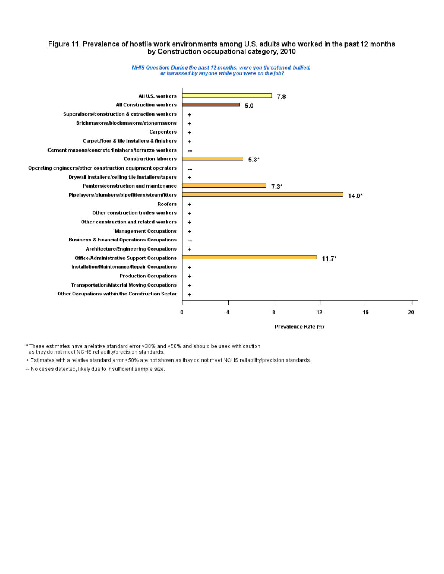### Figure 11. Prevalence of hostile work environments among U.S. adults who worked in the past 12 months by Construction occupational category, 2010





\* These estimates have a relative standard error >30% and <50% and should be used with caution as they do not meet NCHS reliability/precision standards.

+ Estimates with a relative standard error >50% are not shown as they do not meet NCHS reliability/precision standards.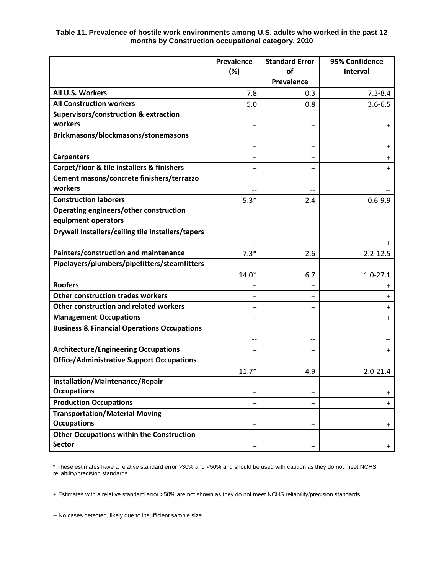|                                                        | Prevalence               | <b>Standard Error</b> | 95% Confidence  |
|--------------------------------------------------------|--------------------------|-----------------------|-----------------|
|                                                        | (%)                      | of                    | <b>Interval</b> |
|                                                        |                          | Prevalence            |                 |
| All U.S. Workers                                       | 7.8                      | 0.3                   | $7.3 - 8.4$     |
| <b>All Construction workers</b>                        | 5.0                      | 0.8                   | $3.6 - 6.5$     |
| <b>Supervisors/construction &amp; extraction</b>       |                          |                       |                 |
| workers                                                | $\ddot{}$                | $\ddot{}$             | $^{+}$          |
| Brickmasons/blockmasons/stonemasons                    |                          |                       |                 |
|                                                        | $\pmb{+}$                | $\ddot{}$             | $\pm$           |
| <b>Carpenters</b>                                      | $\ddot{}$                | $\ddot{}$             | $\pm$           |
| Carpet/floor & tile installers & finishers             | $\pmb{+}$                | $\ddot{}$             | $\ddot{}$       |
| Cement masons/concrete finishers/terrazzo              |                          |                       |                 |
| workers                                                | --                       | --                    |                 |
| <b>Construction laborers</b>                           | $5.3*$                   | 2.4                   | $0.6 - 9.9$     |
| Operating engineers/other construction                 |                          |                       |                 |
| equipment operators                                    | $-$                      | --                    |                 |
| Drywall installers/ceiling tile installers/tapers      |                          |                       |                 |
|                                                        | +                        | $\ddot{}$             | +               |
| Painters/construction and maintenance                  | $7.3*$                   | 2.6                   | $2.2 - 12.5$    |
| Pipelayers/plumbers/pipefitters/steamfitters           |                          |                       |                 |
|                                                        | $14.0*$                  | 6.7                   | $1.0 - 27.1$    |
| <b>Roofers</b>                                         | $\ddot{}$                | $\ddot{}$             | +               |
| <b>Other construction trades workers</b>               | $\ddot{}$                | $\ddot{}$             | $\ddot{}$       |
| Other construction and related workers                 | $\pmb{+}$                | $\ddot{}$             | $\pm$           |
| <b>Management Occupations</b>                          | $\ddot{}$                | +                     | $\pm$           |
| <b>Business &amp; Financial Operations Occupations</b> |                          |                       |                 |
|                                                        | $\overline{\phantom{a}}$ | --                    |                 |
| <b>Architecture/Engineering Occupations</b>            | $\ddot{}$                | $+$                   | $\ddot{}$       |
| <b>Office/Administrative Support Occupations</b>       |                          |                       |                 |
|                                                        | $11.7*$                  | 4.9                   | $2.0 - 21.4$    |
| Installation/Maintenance/Repair                        |                          |                       |                 |
| <b>Occupations</b>                                     | $\ddot{}$                | $\ddot{}$             | $\pm$           |
| <b>Production Occupations</b>                          | $\ddot{}$                | $+$                   | $+$             |
| <b>Transportation/Material Moving</b>                  |                          |                       |                 |
| <b>Occupations</b>                                     | $\ddot{}$                | $\ddot{}$             | $+$             |
| <b>Other Occupations within the Construction</b>       |                          |                       |                 |
| <b>Sector</b>                                          | $\ddot{}$                | $\ddot{}$             | $+$             |

## **Table 11. Prevalence of hostile work environments among U.S. adults who worked in the past 12 months by Construction occupational category, 2010**

\* These estimates have a relative standard error >30% and <50% and should be used with caution as they do not meet NCHS reliability/precision standards.

+ Estimates with a relative standard error >50% are not shown as they do not meet NCHS reliability/precision standards.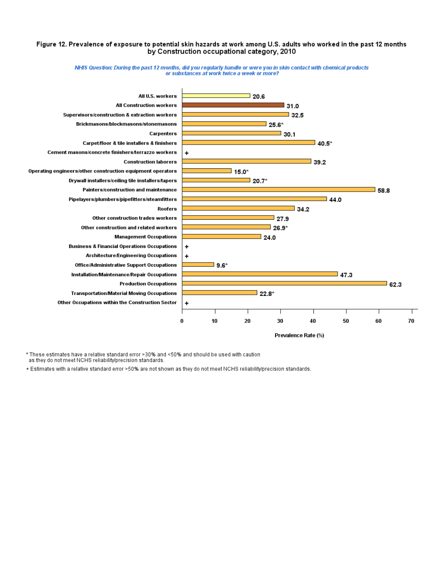#### Figure 12. Prevalence of exposure to potential skin hazards at work among U.S. adults who worked in the past 12 months by Construction occupational category, 2010





\* These estimates have a relative standard error >30% and <50% and should be used with caution

as they do not meet NCHS reliability/precision standards.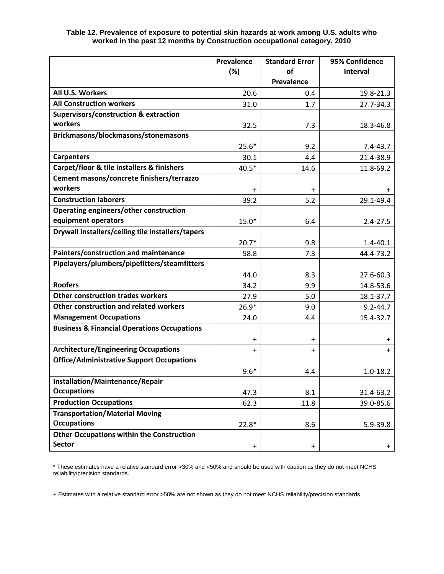|                                                        | Prevalence | <b>Standard Error</b> | 95% Confidence  |
|--------------------------------------------------------|------------|-----------------------|-----------------|
|                                                        | (%)        | of                    | <b>Interval</b> |
|                                                        |            | Prevalence            |                 |
| All U.S. Workers                                       | 20.6       | 0.4                   | 19.8-21.3       |
| <b>All Construction workers</b>                        | 31.0       | 1.7                   | 27.7-34.3       |
| <b>Supervisors/construction &amp; extraction</b>       |            |                       |                 |
| workers                                                | 32.5       | 7.3                   | 18.3-46.8       |
| Brickmasons/blockmasons/stonemasons                    |            |                       |                 |
|                                                        | $25.6*$    | 9.2                   | $7.4 - 43.7$    |
| <b>Carpenters</b>                                      | 30.1       | 4.4                   | 21.4-38.9       |
| Carpet/floor & tile installers & finishers             | $40.5*$    | 14.6                  | 11.8-69.2       |
| Cement masons/concrete finishers/terrazzo              |            |                       |                 |
| workers                                                | $\ddot{}$  | $\ddot{}$             |                 |
| <b>Construction laborers</b>                           | 39.2       | 5.2                   | 29.1-49.4       |
| Operating engineers/other construction                 |            |                       |                 |
| equipment operators                                    | $15.0*$    | 6.4                   | $2.4 - 27.5$    |
| Drywall installers/ceiling tile installers/tapers      |            |                       |                 |
|                                                        | $20.7*$    | 9.8                   | $1.4 - 40.1$    |
| Painters/construction and maintenance                  | 58.8       | 7.3                   | 44.4-73.2       |
| Pipelayers/plumbers/pipefitters/steamfitters           |            |                       |                 |
|                                                        | 44.0       | 8.3                   | 27.6-60.3       |
| <b>Roofers</b>                                         | 34.2       | 9.9                   | 14.8-53.6       |
| <b>Other construction trades workers</b>               | 27.9       | 5.0                   | 18.1-37.7       |
| Other construction and related workers                 | $26.9*$    | 9.0                   | $9.2 - 44.7$    |
| <b>Management Occupations</b>                          | 24.0       | 4.4                   | 15.4-32.7       |
| <b>Business &amp; Financial Operations Occupations</b> |            |                       |                 |
|                                                        | $\ddot{}$  | $\pmb{+}$             | $+$             |
| <b>Architecture/Engineering Occupations</b>            | $\ddot{}$  | $\ddot{}$             | $+$             |
| <b>Office/Administrative Support Occupations</b>       |            |                       |                 |
|                                                        | $9.6*$     | 4.4                   | $1.0 - 18.2$    |
| Installation/Maintenance/Repair                        |            |                       |                 |
| <b>Occupations</b>                                     | 47.3       | 8.1                   | 31.4-63.2       |
| <b>Production Occupations</b>                          | 62.3       | 11.8                  | 39.0-85.6       |
| <b>Transportation/Material Moving</b>                  |            |                       |                 |
| <b>Occupations</b>                                     | $22.8*$    | 8.6                   | 5.9-39.8        |
| <b>Other Occupations within the Construction</b>       |            |                       |                 |
| <b>Sector</b>                                          | $\ddot{}$  | $\ddot{}$             | $+$             |

## **Table 12. Prevalence of exposure to potential skin hazards at work among U.S. adults who worked in the past 12 months by Construction occupational category, 2010**

\* These estimates have a relative standard error >30% and <50% and should be used with caution as they do not meet NCHS reliability/precision standards.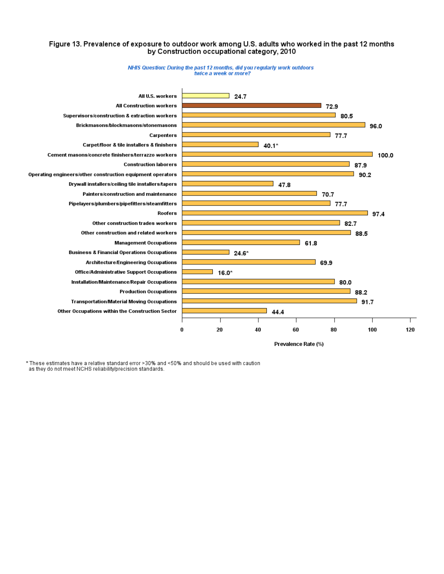## Figure 13. Prevalence of exposure to outdoor work among U.S. adults who worked in the past 12 months by Construction occupational category, 2010



NHIS Question: During the past 12 months, did you regularly work outdoors twice a week or more?

Prevalence Rate (%)

\* These estimates have a relative standard error >30% and <50% and should be used with caution as they do not meet NCHS reliability/precision standards.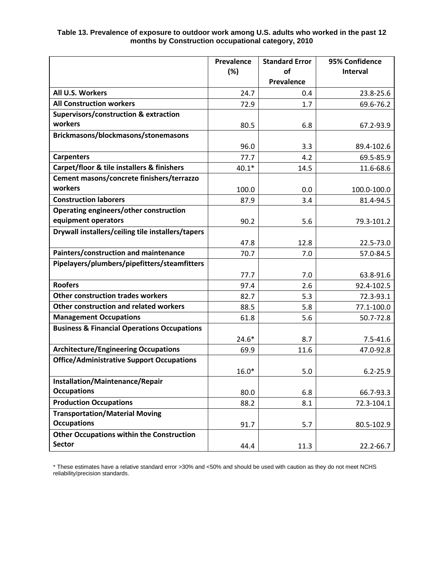| Table 13. Prevalence of exposure to outdoor work among U.S. adults who worked in the past 12 |  |
|----------------------------------------------------------------------------------------------|--|
| months by Construction occupational category, 2010                                           |  |

|                                                        | Prevalence | <b>Standard Error</b> | 95% Confidence |
|--------------------------------------------------------|------------|-----------------------|----------------|
|                                                        | (%)        | of                    | Interval       |
|                                                        |            | Prevalence            |                |
| All U.S. Workers                                       | 24.7       | 0.4                   | 23.8-25.6      |
| <b>All Construction workers</b>                        | 72.9       | 1.7                   | 69.6-76.2      |
| <b>Supervisors/construction &amp; extraction</b>       |            |                       |                |
| workers                                                | 80.5       | 6.8                   | 67.2-93.9      |
| Brickmasons/blockmasons/stonemasons                    |            |                       |                |
|                                                        | 96.0       | 3.3                   | 89.4-102.6     |
| <b>Carpenters</b>                                      | 77.7       | 4.2                   | 69.5-85.9      |
| Carpet/floor & tile installers & finishers             | $40.1*$    | 14.5                  | 11.6-68.6      |
| Cement masons/concrete finishers/terrazzo              |            |                       |                |
| workers                                                | 100.0      | 0.0                   | 100.0-100.0    |
| <b>Construction laborers</b>                           | 87.9       | 3.4                   | 81.4-94.5      |
| Operating engineers/other construction                 |            |                       |                |
| equipment operators                                    | 90.2       | 5.6                   | 79.3-101.2     |
| Drywall installers/ceiling tile installers/tapers      |            |                       |                |
|                                                        | 47.8       | 12.8                  | 22.5-73.0      |
| Painters/construction and maintenance                  | 70.7       | 7.0                   | 57.0-84.5      |
| Pipelayers/plumbers/pipefitters/steamfitters           |            |                       |                |
|                                                        | 77.7       | 7.0                   | 63.8-91.6      |
| <b>Roofers</b>                                         | 97.4       | 2.6                   | 92.4-102.5     |
| <b>Other construction trades workers</b>               | 82.7       | 5.3                   | 72.3-93.1      |
| Other construction and related workers                 | 88.5       | 5.8                   | 77.1-100.0     |
| <b>Management Occupations</b>                          | 61.8       | 5.6                   | 50.7-72.8      |
| <b>Business &amp; Financial Operations Occupations</b> |            |                       |                |
|                                                        | $24.6*$    | 8.7                   | $7.5 - 41.6$   |
| <b>Architecture/Engineering Occupations</b>            | 69.9       | 11.6                  | 47.0-92.8      |
| <b>Office/Administrative Support Occupations</b>       |            |                       |                |
|                                                        | $16.0*$    | 5.0                   | $6.2 - 25.9$   |
| Installation/Maintenance/Repair                        |            |                       |                |
| <b>Occupations</b>                                     | 80.0       | 6.8                   | 66.7-93.3      |
| <b>Production Occupations</b>                          | 88.2       | 8.1                   | 72.3-104.1     |
| <b>Transportation/Material Moving</b>                  |            |                       |                |
| <b>Occupations</b>                                     | 91.7       | 5.7                   | 80.5-102.9     |
| <b>Other Occupations within the Construction</b>       |            |                       |                |
| <b>Sector</b>                                          | 44.4       | 11.3                  | 22.2-66.7      |

\* These estimates have a relative standard error >30% and <50% and should be used with caution as they do not meet NCHS reliability/precision standards.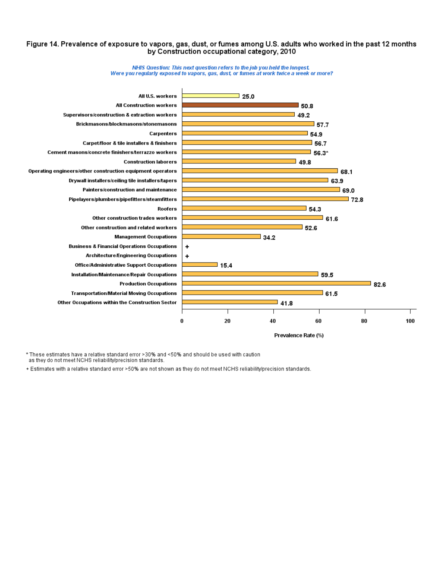#### Figure 14. Prevalence of exposure to vapors, gas, dust, or fumes among U.S. adults who worked in the past 12 months by Construction occupational category, 2010





\* These estimates have a relative standard error >30% and <50% and should be used with caution

as they do not meet NCHS reliability/precision standards.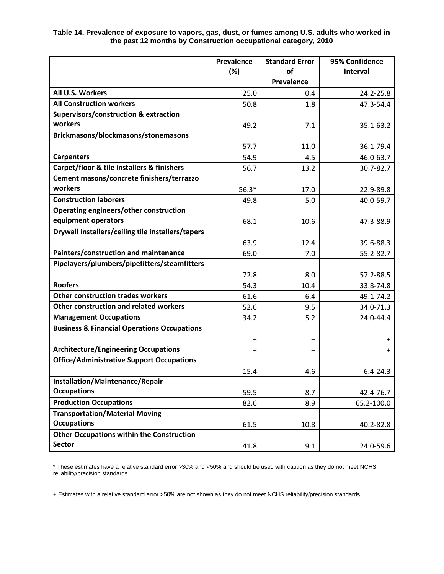| Table 14. Prevalence of exposure to vapors, gas, dust, or fumes among U.S. adults who worked in |  |
|-------------------------------------------------------------------------------------------------|--|
| the past 12 months by Construction occupational category, 2010                                  |  |

|                                                        | <b>Prevalence</b> | <b>Standard Error</b> | 95% Confidence |
|--------------------------------------------------------|-------------------|-----------------------|----------------|
|                                                        | (%)               | of                    | Interval       |
|                                                        |                   | <b>Prevalence</b>     |                |
| All U.S. Workers                                       | 25.0              | 0.4                   | 24.2-25.8      |
| <b>All Construction workers</b>                        | 50.8              | 1.8                   | 47.3-54.4      |
| <b>Supervisors/construction &amp; extraction</b>       |                   |                       |                |
| workers                                                | 49.2              | 7.1                   | 35.1-63.2      |
| Brickmasons/blockmasons/stonemasons                    |                   |                       |                |
|                                                        | 57.7              | 11.0                  | 36.1-79.4      |
| <b>Carpenters</b>                                      | 54.9              | 4.5                   | 46.0-63.7      |
| Carpet/floor & tile installers & finishers             | 56.7              | 13.2                  | 30.7-82.7      |
| Cement masons/concrete finishers/terrazzo              |                   |                       |                |
| workers                                                | $56.3*$           | 17.0                  | 22.9-89.8      |
| <b>Construction laborers</b>                           | 49.8              | 5.0                   | 40.0-59.7      |
| <b>Operating engineers/other construction</b>          |                   |                       |                |
| equipment operators                                    | 68.1              | 10.6                  | 47.3-88.9      |
| Drywall installers/ceiling tile installers/tapers      |                   |                       |                |
|                                                        | 63.9              | 12.4                  | 39.6-88.3      |
| Painters/construction and maintenance                  | 69.0              | 7.0                   | 55.2-82.7      |
| Pipelayers/plumbers/pipefitters/steamfitters           |                   |                       |                |
|                                                        | 72.8              | 8.0                   | 57.2-88.5      |
| <b>Roofers</b>                                         | 54.3              | 10.4                  | 33.8-74.8      |
| <b>Other construction trades workers</b>               | 61.6              | 6.4                   | 49.1-74.2      |
| Other construction and related workers                 | 52.6              | 9.5                   | 34.0-71.3      |
| <b>Management Occupations</b>                          | 34.2              | 5.2                   | 24.0-44.4      |
| <b>Business &amp; Financial Operations Occupations</b> |                   |                       |                |
|                                                        | $\ddot{}$         | $\ddot{}$             | $\ddot{}$      |
| <b>Architecture/Engineering Occupations</b>            | $\ddot{}$         | $\ddot{}$             | $\ddot{}$      |
| <b>Office/Administrative Support Occupations</b>       |                   |                       |                |
|                                                        | 15.4              | 4.6                   | $6.4 - 24.3$   |
| Installation/Maintenance/Repair                        |                   |                       |                |
| <b>Occupations</b>                                     | 59.5              | 8.7                   | 42.4-76.7      |
| <b>Production Occupations</b>                          | 82.6              | 8.9                   | 65.2-100.0     |
| <b>Transportation/Material Moving</b>                  |                   |                       |                |
| <b>Occupations</b>                                     | 61.5              | 10.8                  | 40.2-82.8      |
| <b>Other Occupations within the Construction</b>       |                   |                       |                |
| <b>Sector</b>                                          | 41.8              | 9.1                   | 24.0-59.6      |

\* These estimates have a relative standard error >30% and <50% and should be used with caution as they do not meet NCHS reliability/precision standards.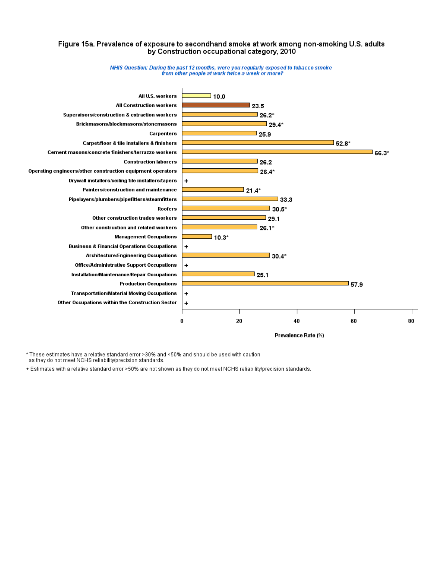## Figure 15a. Prevalence of exposure to secondhand smoke at work among non-smoking U.S. adults by Construction occupational category, 2010





\* These estimates have a relative standard error >30% and <50% and should be used with caution

as they do not meet NCHS reliability/precision standards.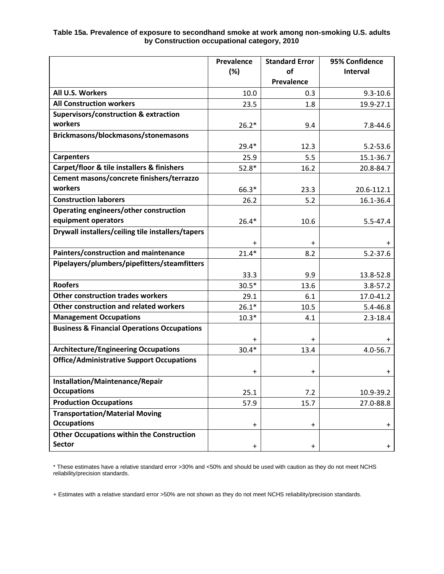**Table 15a. Prevalence of exposure to secondhand smoke at work among non-smoking U.S. adults by Construction occupational category, 2010**

|                                                        | Prevalence | <b>Standard Error</b> | 95% Confidence |
|--------------------------------------------------------|------------|-----------------------|----------------|
|                                                        | (%)        | of                    | Interval       |
|                                                        |            | <b>Prevalence</b>     |                |
| All U.S. Workers                                       | 10.0       | 0.3                   | $9.3 - 10.6$   |
| <b>All Construction workers</b>                        | 23.5       | 1.8                   | 19.9-27.1      |
| <b>Supervisors/construction &amp; extraction</b>       |            |                       |                |
| workers                                                | $26.2*$    | 9.4                   | 7.8-44.6       |
| Brickmasons/blockmasons/stonemasons                    |            |                       |                |
|                                                        | $29.4*$    | 12.3                  | $5.2 - 53.6$   |
| <b>Carpenters</b>                                      | 25.9       | 5.5                   | 15.1-36.7      |
| Carpet/floor & tile installers & finishers             | $52.8*$    | 16.2                  | 20.8-84.7      |
| Cement masons/concrete finishers/terrazzo              |            |                       |                |
| workers                                                | 66.3*      | 23.3                  | 20.6-112.1     |
| <b>Construction laborers</b>                           | 26.2       | 5.2                   | 16.1-36.4      |
| <b>Operating engineers/other construction</b>          |            |                       |                |
| equipment operators                                    | $26.4*$    | 10.6                  | $5.5 - 47.4$   |
| Drywall installers/ceiling tile installers/tapers      |            |                       |                |
|                                                        | $\ddot{}$  | $\ddot{}$             | +              |
| Painters/construction and maintenance                  | $21.4*$    | 8.2                   | $5.2 - 37.6$   |
| Pipelayers/plumbers/pipefitters/steamfitters           |            |                       |                |
|                                                        | 33.3       | 9.9                   | 13.8-52.8      |
| <b>Roofers</b>                                         | $30.5*$    | 13.6                  | $3.8 - 57.2$   |
| <b>Other construction trades workers</b>               | 29.1       | 6.1                   | 17.0-41.2      |
| Other construction and related workers                 | $26.1*$    | 10.5                  | 5.4-46.8       |
| <b>Management Occupations</b>                          | $10.3*$    | 4.1                   | $2.3 - 18.4$   |
| <b>Business &amp; Financial Operations Occupations</b> |            |                       |                |
|                                                        | $\ddot{}$  | $\ddot{}$             | $\pm$          |
| <b>Architecture/Engineering Occupations</b>            | $30.4*$    | 13.4                  | $4.0 - 56.7$   |
| <b>Office/Administrative Support Occupations</b>       |            |                       |                |
|                                                        | $\pmb{+}$  | $\ddot{}$             | +              |
| Installation/Maintenance/Repair                        |            |                       |                |
| <b>Occupations</b>                                     | 25.1       | 7.2                   | 10.9-39.2      |
| <b>Production Occupations</b>                          | 57.9       | 15.7                  | 27.0-88.8      |
| <b>Transportation/Material Moving</b>                  |            |                       |                |
| <b>Occupations</b>                                     | $\ddot{}$  | $\ddot{}$             | $\ddot{}$      |
| <b>Other Occupations within the Construction</b>       |            |                       |                |
| <b>Sector</b>                                          | $\ddot{}$  | $\ddot{}$             | $+$            |

\* These estimates have a relative standard error >30% and <50% and should be used with caution as they do not meet NCHS reliability/precision standards.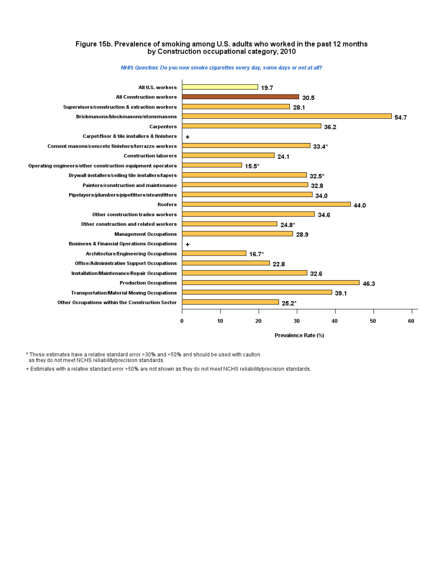## Figure 15b. Prevalence of smoking among U.S. adults who worked in the past 12 months by Construction occupational category, 2010



NHIS Question: Do you now smoke cigarettes every day, some days or not at all?

\* These estimates have a relative standard error >30% and <50% and should be used with caution

as they do not meet NCHS reliability/precision standards.